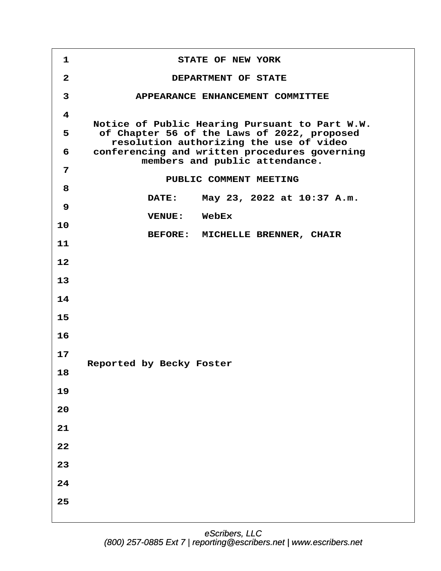**·1· · · · · · · · · STATE OF NEW YORK ·2· · · · · · · · ·DEPARTMENT OF STATE ·3· · · · · ·APPEARANCE ENHANCEMENT COMMITTEE ·4** Notice of Public Hearing Pursuant to Part W.W. **·5· · ·of Chapter 56 of the Laws of 2022, proposed · · · · ·resolution authorizing the use of video ·6· · conferencing and written procedures governing · · · · · · · members and public attendance. ·7** PUBLIC COMMENT MEETING **·8 · · · · · · · ·DATE:· · May 23, 2022 at 10:37 A.m. ·9 · · · · · · · ·VENUE:· ·WebEx 10** BEFORE: MICHELLE BRENNER, CHAIR **11 12 13 14 15 16 17** Reported by Becky Foster **18 19 20 21 22 23 24 25**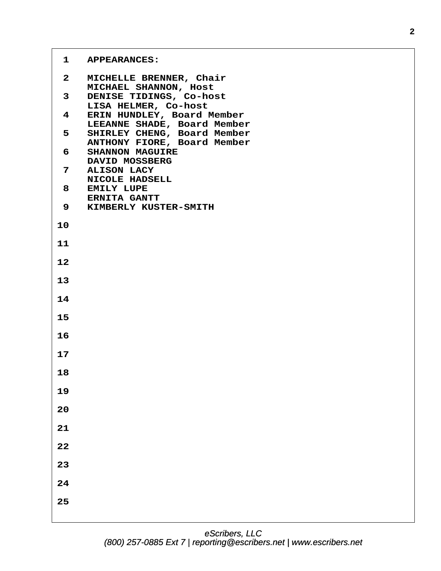# 1 APPEARANCES:

| $\mathbf{2}$            | MICHELLE BRENNER, Chair<br>MICHAEL SHANNON, Host           |
|-------------------------|------------------------------------------------------------|
| 3 <sup>7</sup>          | DENISE TIDINGS, Co-host<br>LISA HELMER, Co-host            |
| $\overline{\mathbf{4}}$ | ERIN HUNDLEY, Board Member<br>LEEANNE SHADE, Board Member  |
| 5                       | SHIRLEY CHENG, Board Member<br>ANTHONY FIORE, Board Member |
| 6                       | <b>SHANNON MAGUIRE</b><br>DAVID MOSSBERG                   |
| $7\overline{ }$         | <b>ALISON LACY</b><br>NICOLE HADSELL                       |
| 8                       | <b>EMILY LUPE</b><br><b>ERNITA GANTT</b>                   |
|                         | 9 KIMBERLY KUSTER-SMITH                                    |
| 10                      |                                                            |
| 11                      |                                                            |
| 12                      |                                                            |
| 13                      |                                                            |
| 14                      |                                                            |
| 15                      |                                                            |
| 16                      |                                                            |
| 17                      |                                                            |
| 18                      |                                                            |
| 19                      |                                                            |
| 20                      |                                                            |
| 21                      |                                                            |
| 22                      |                                                            |
| 23                      |                                                            |
| 24                      |                                                            |
| 25                      |                                                            |
|                         |                                                            |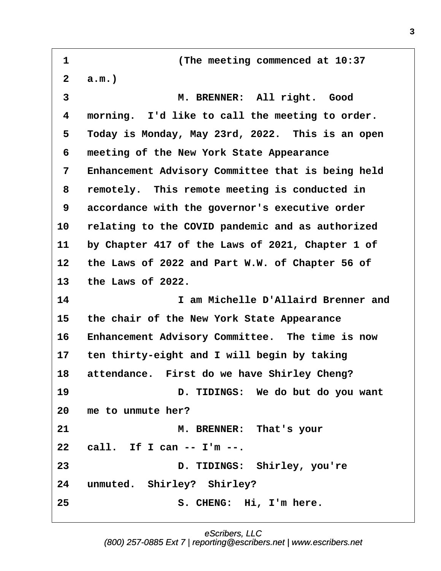<span id="page-2-0"></span>**·1· · · · · · · · · (The meeting commenced at 10:37 ·2· ·a.m.) ·3· · · · · · · · · M. BRENNER:· All right.· Good ·4· ·morning.· I'd like to call the meeting to order. ·5· ·Today is Monday, May 23rd, 2022.· This is an open ·6· ·meeting of the New York State Appearance ·7· ·Enhancement Advisory Committee that is being held ·8· ·remotely.· This remote meeting is conducted in ·9· ·accordance with the governor's executive order 10· ·relating to the COVID pandemic and as authorized 11· ·by Chapter 417 of the Laws of 2021, Chapter 1 of 12· ·the Laws of 2022 and Part W.W. of Chapter 56 of 13· ·the Laws of 2022. 14· · · · · · · · · I am Michelle D'Allaird Brenner and 15· ·the chair of the New York State Appearance** 16 Enhancement Advisory Committee. The time is now 17 ten thirty-eight and I will begin by taking 18 attendance. First do we have Shirley Cheng? 19 **19 D. TIDINGS:** We do but do you want **20· ·me to unmute her? 21· · · · · · · · · M. BRENNER:· That's your 22· ·call.· If I can -- I'm --. 23· · · · · · · · · D. TIDINGS:· Shirley, you're** 24 unmuted. Shirley? Shirley? **25· · · · · · · · · S. CHENG:· Hi, I'm here.**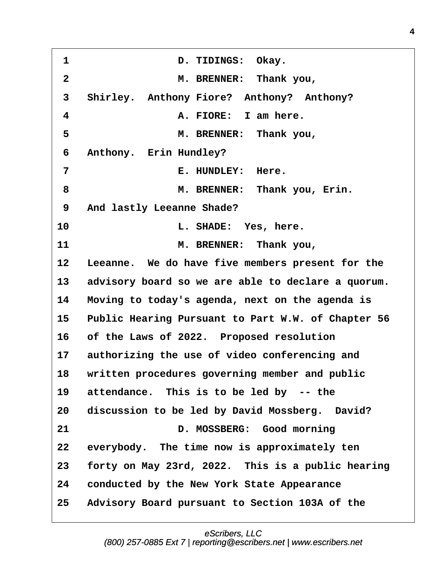<span id="page-3-0"></span>1 **b. TIDINGS: Okay. ·2· · · · · · · · · M. BRENNER:· Thank you, ·3· ·Shirley.· Anthony Fiore?· Anthony?· Anthony? ·4· · · · · · · · · A. FIORE:· I am here. ·5· · · · · · · · · M. BRENNER:· Thank you,** 6 Anthony. Erin Hundley? **·7· · · · · · · · · E. HUNDLEY:· Here. ·8· · · · · · · · · M. BRENNER:· Thank you, Erin. ·9· ·And lastly Leeanne Shade?** 10 **10 1. SHADE:** Yes, here. **11· · · · · · · · · M. BRENNER:· Thank you,** 12 Leeanne. We do have five members present for the 13 advisory board so we are able to declare a quorum. **14· ·Moving to today's agenda, next on the agenda is** 15 Public Hearing Pursuant to Part W.W. of Chapter 56 16 of the Laws of 2022. Proposed resolution 17 authorizing the use of video conferencing and 18 written procedures governing member and public 19 attendance. This is to be led by -- the 20 discussion to be led by David Mossberg. David? **21· · · · · · · · · D. MOSSBERG:· Good morning** 22 everybody. The time now is approximately ten **23· ·forty on May 23rd, 2022.· This is a public hearing 24· ·conducted by the New York State Appearance 25· ·Advisory Board pursuant to Section 103A of the**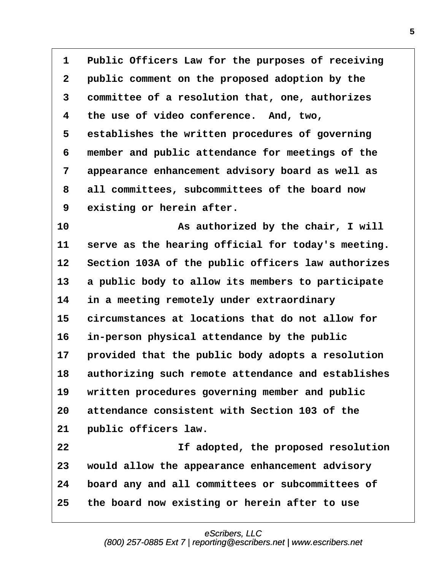<span id="page-4-0"></span>1 Public Officers Law for the purposes of receiving **·2· ·public comment on the proposed adoption by the ·3· ·committee of a resolution that, one, authorizes ·4· ·the use of video conference.· And, two, ·5· ·establishes the written procedures of governing ·6· ·member and public attendance for meetings of the ·7· ·appearance enhancement advisory board as well as ·8· ·all committees, subcommittees of the board now 9** existing or herein after. **10· · · · · · · · · As authorized by the chair, I will** 11 serve as the hearing official for today's meeting. 12 Section 103A of the public officers law authorizes 13 a public body to allow its members to participate **14· ·in a meeting remotely under extraordinary 15· ·circumstances at locations that do not allow for** 16 in-person physical attendance by the public 17 **· provided that the public body adopts a resolution 18· ·authorizing such remote attendance and establishes** 19 written procedures governing member and public **20· ·attendance consistent with Section 103 of the** 21 **public officers law. 22· · · · · · · · · If adopted, the proposed resolution 23· ·would allow the appearance enhancement advisory 24· ·board any and all committees or subcommittees of**

**25· ·the board now existing or herein after to use**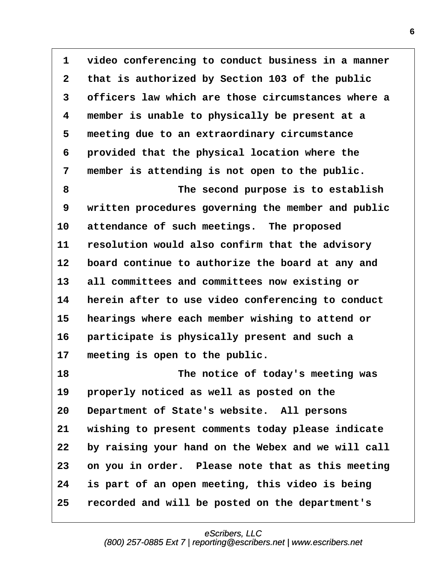<span id="page-5-0"></span>**·1· ·video conferencing to conduct business in a manner ·2· ·that is authorized by Section 103 of the public ·3· ·officers law which are those circumstances where a ·4· ·member is unable to physically be present at a ·5· ·meeting due to an extraordinary circumstance ·6· ·provided that the physical location where the ·7· ·member is attending is not open to the public. ·8· · · · · · · · · The second purpose is to establish ·9· ·written procedures governing the member and public** 10 attendance of such meetings. The proposed 11 resolution would also confirm that the advisory 12 board continue to authorize the board at any and **13· ·all committees and committees now existing or** 14 **herein after to use video conferencing to conduct** 15 **hearings where each member wishing to attend or** 16 **participate is physically present and such a** 17 meeting is open to the public. **18· · · · · · · · · The notice of today's meeting was** 19 **properly noticed as well as posted on the** 20 Department of State's website. All persons **21· ·wishing to present comments today please indicate 22· ·by raising your hand on the Webex and we will call 23· ·on you in order.· Please note that as this meeting 24· ·is part of an open meeting, this video is being**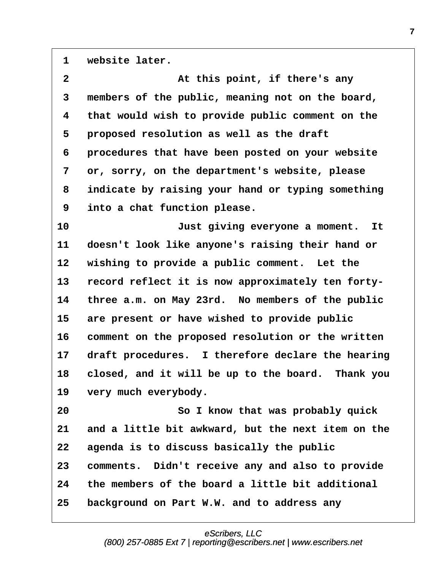<span id="page-6-0"></span>1 website later.

| $\mathbf{2}$ | At this point, if there's any                      |
|--------------|----------------------------------------------------|
| 3            | members of the public, meaning not on the board,   |
| 4            | that would wish to provide public comment on the   |
| 5            | proposed resolution as well as the draft           |
| 6            | procedures that have been posted on your website   |
| 7            | or, sorry, on the department's website, please     |
| 8            | indicate by raising your hand or typing something  |
| 9            | into a chat function please.                       |
| 10           | Just giving everyone a moment.<br>It               |
| 11           | doesn't look like anyone's raising their hand or   |
| 12           | wishing to provide a public comment. Let the       |
| 13           | record reflect it is now approximately ten forty-  |
| 14           | three a.m. on May 23rd. No members of the public   |
| 15           | are present or have wished to provide public       |
| 16           | comment on the proposed resolution or the written  |
| 17           | draft procedures. I therefore declare the hearing  |
| 18           | closed, and it will be up to the board. Thank you  |
| 19           | very much everybody.                               |
| 20           | So I know that was probably quick                  |
| 21           | and a little bit awkward, but the next item on the |
| 22           | agenda is to discuss basically the public          |
| 23           | comments. Didn't receive any and also to provide   |
| 24           | the members of the board a little bit additional   |
| 25           | background on Part W.W. and to address any         |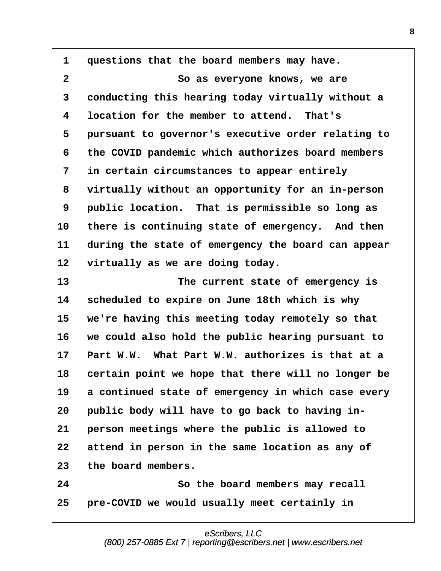<span id="page-7-0"></span>**·1· ·questions that the board members may have. ·2· · · · · · · · · So as everyone knows, we are ·3· ·conducting this hearing today virtually without a ·4· ·location for the member to attend.· That's ·5· ·pursuant to governor's executive order relating to ·6· ·the COVID pandemic which authorizes board members ·7· ·in certain circumstances to appear entirely ·8· ·virtually without an opportunity for an in-person ·9· ·public location.· That is permissible so long as** 10 there is continuing state of emergency. And then **11· ·during the state of emergency the board can appear** 12 virtually as we are doing today. **13· · · · · · · · · The current state of emergency is 14· ·scheduled to expire on June 18th which is why** 15 we're having this meeting today remotely so that **16· ·we could also hold the public hearing pursuant to 17· ·Part W.W.· What Part W.W. authorizes is that at a** 18 certain point we hope that there will no longer be 19 a continued state of emergency in which case every 20 public body will have to go back to having in-**21· ·person meetings where the public is allowed to** 22 attend in person in the same location as any of **23· ·the board members. 24· · · · · · · · · So the board members may recall 25· ·pre-COVID we would usually meet certainly in**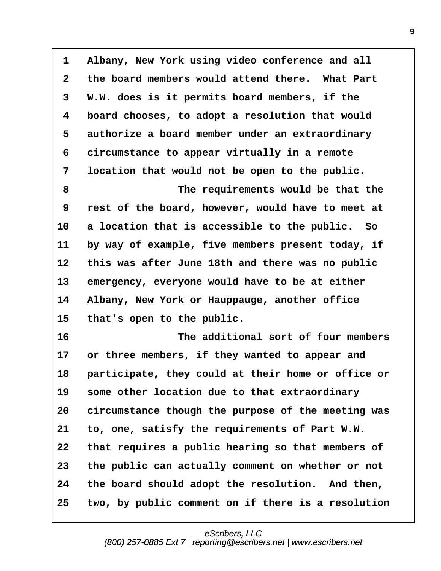<span id="page-8-0"></span>**·1· ·Albany, New York using video conference and all ·2· ·the board members would attend there.· What Part ·3· ·W.W. does is it permits board members, if the ·4· ·board chooses, to adopt a resolution that would** 5 authorize a board member under an extraordinary **·6· ·circumstance to appear virtually in a remote ·7· ·location that would not be open to the public. ·8· · · · · · · · · The requirements would be that the ·9· ·rest of the board, however, would have to meet at** 10 a location that is accessible to the public. So 11 by way of example, five members present today, if 12 this was after June 18th and there was no public 13 emergency, everyone would have to be at either **14· ·Albany, New York or Hauppauge, another office** 15 that's open to the public. **16· · · · · · · · · The additional sort of four members** 17 or three members, if they wanted to appear and 18 **participate, they could at their home or office or** 19 some other location due to that extraordinary **20· ·circumstance though the purpose of the meeting was 21· ·to, one, satisfy the requirements of Part W.W. 22· ·that requires a public hearing so that members of 23· ·the public can actually comment on whether or not 24· ·the board should adopt the resolution.· And then, 25· ·two, by public comment on if there is a resolution**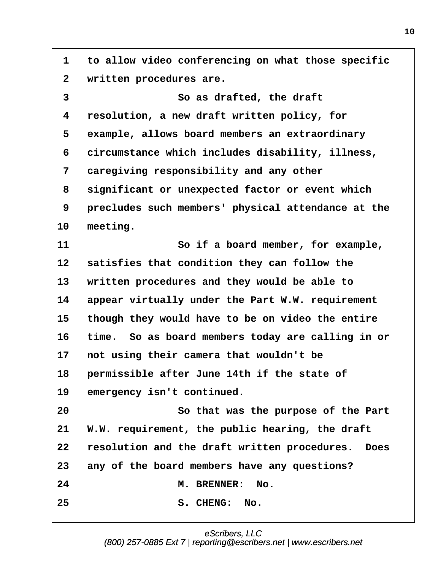<span id="page-9-0"></span>**·1· ·to allow video conferencing on what those specific** 2 written procedures are. **·3· · · · · · · · · So as drafted, the draft ·4· ·resolution, a new draft written policy, for** 5 example, allows board members an extraordinary **·6· ·circumstance which includes disability, illness, ·7· ·caregiving responsibility and any other ·8· ·significant or unexpected factor or event which ·9· ·precludes such members' physical attendance at the** 10 meeting. **11· · · · · · · · · So if a board member, for example,** 12 satisfies that condition they can follow the 13 written procedures and they would be able to **14· ·appear virtually under the Part W.W. requirement** 15 though they would have to be on video the entire **16· ·time.· So as board members today are calling in or 17· ·not using their camera that wouldn't be 18· ·permissible after June 14th if the state of** 19 emergency isn't continued. **20· · · · · · · · · So that was the purpose of the Part** 21 W.W. requirement, the public hearing, the draft **22· ·resolution and the draft written procedures.· Does 23· ·any of the board members have any questions? 24· · · · · · · · · M. BRENNER:· No. 25· · · · · · · · · S. CHENG:· No.**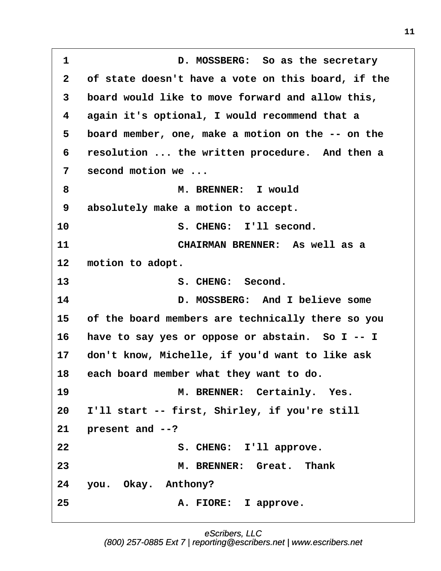<span id="page-10-0"></span>**·1· · · · · · · · · D. MOSSBERG:· So as the secretary ·2· ·of state doesn't have a vote on this board, if the ·3· ·board would like to move forward and allow this, ·4· ·again it's optional, I would recommend that a ·5· ·board member, one, make a motion on the -- on the ·6· ·resolution ... the written procedure.· And then a ·7· ·second motion we ... ·8· · · · · · · · · M. BRENNER:· I would ·9· ·absolutely make a motion to accept. 10· · · · · · · · · S. CHENG:· I'll second. 11· · · · · · · · · CHAIRMAN BRENNER:· As well as a** 12 motion to adopt. **13· · · · · · · · · S. CHENG:· Second.** 14 **D. MOSSBERG:** And I believe some **15· ·of the board members are technically there so you** 16 have to say yes or oppose or abstain. So I -- I **17· ·don't know, Michelle, if you'd want to like ask** 18 each board member what they want to do. **19· · · · · · · · · M. BRENNER:· Certainly.· Yes. 20· ·I'll start -- first, Shirley, if you're still 21· ·present and --?** 22 S. CHENG: I'll approve. **23· · · · · · · · · M. BRENNER:· Great.· Thank** 24 you. Okay. Anthony? **25· · · · · · · · · A. FIORE:· I approve.**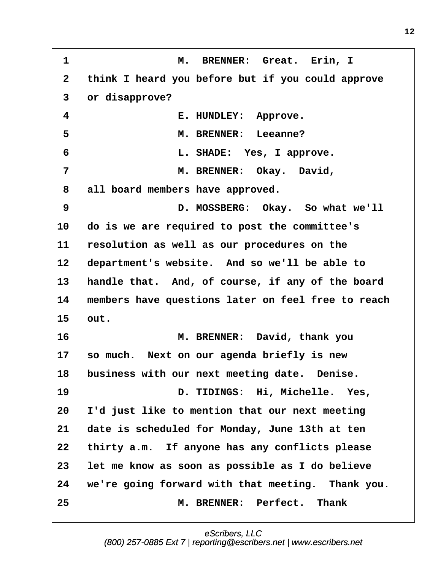<span id="page-11-0"></span>**·1· · · · · · · · · M.· BRENNER:· Great.· Erin, I ·2· ·think I heard you before but if you could approve ·3· ·or disapprove? ·4· · · · · · · · · E. HUNDLEY:· Approve. ·5· · · · · · · · · M. BRENNER:· Leeanne? ·6· · · · · · · · · L. SHADE:· Yes, I approve. ·7· · · · · · · · · M. BRENNER:· Okay.· David, ·8· ·all board members have approved. ·9· · · · · · · · · D. MOSSBERG:· Okay.· So what we'll 10· ·do is we are required to post the committee's 11· ·resolution as well as our procedures on the** 12 department's website. And so we'll be able to 13 handle that. And, of course, if any of the board **14· ·members have questions later on feel free to reach 15· ·out. 16· · · · · · · · · M. BRENNER:· David, thank you 17· ·so much.· Next on our agenda briefly is new 18· ·business with our next meeting date.· Denise.** 19 **19 D. TIDINGS:** Hi, Michelle. Yes, **20· ·I'd just like to mention that our next meeting 21· ·date is scheduled for Monday, June 13th at ten** 22 thirty a.m. If anyone has any conflicts please **23· ·let me know as soon as possible as I do believe 24· ·we're going forward with that meeting.· Thank you. 25· · · · · · · · · M. BRENNER:· Perfect.· Thank**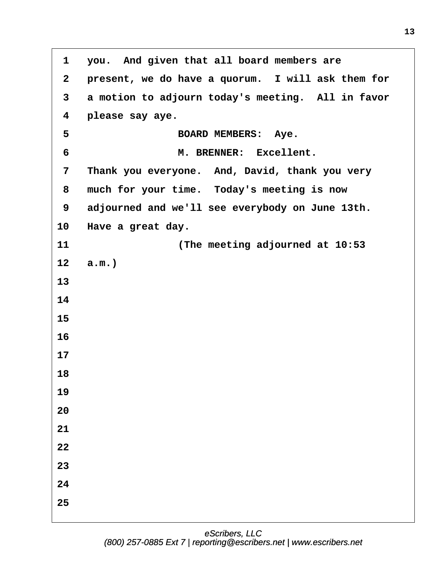<span id="page-12-0"></span>**·1· ·you.· And given that all board members are ·2· ·present, we do have a quorum.· I will ask them for** 3 a motion to adjourn today's meeting. All in favor **·4· ·please say aye. ·5· · · · · · · · · BOARD MEMBERS:· Aye. ·6· · · · · · · · · M. BRENNER:· Excellent. ·7· ·Thank you everyone.· And, David, thank you very ·8· ·much for your time.· Today's meeting is now ·9· ·adjourned and we'll see everybody on June 13th.** 10 Have a great day. **11· · · · · · · · · (The meeting adjourned at 10:53** 12 **a.m.**) **13 14 15 16 17 18 19 20 21 22 23 24 25**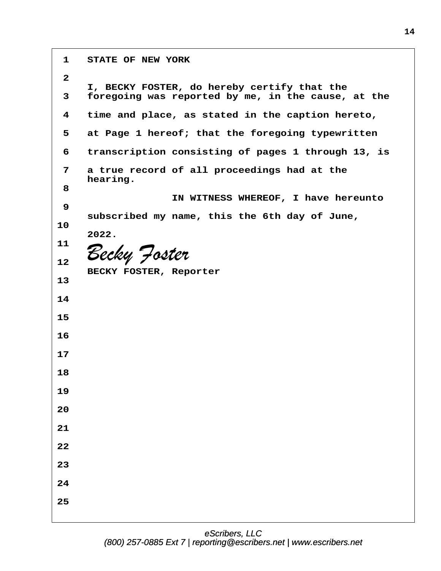**·1· ·STATE OF NEW YORK ·2** I, BECKY FOSTER, do hereby certify that the **·3· ·foregoing was reported by me, in the cause, at the ·4· ·time and place, as stated in the caption hereto, ·5· ·at Page 1 hereof; that the foregoing typewritten ·6· ·transcription consisting of pages 1 through 13, is ·7· ·a true record of all proceedings had at the** hearing. **·8** IN WITNESS WHEREOF, I have hereunto **·9 · · ·subscribed my name, this the 6th day of June, 10 · · ·2022. 11** Becky Joster **12** BECKY FOSTER, Reporter **13 14 15 16 17 18 19 20 21 22 23 24 25**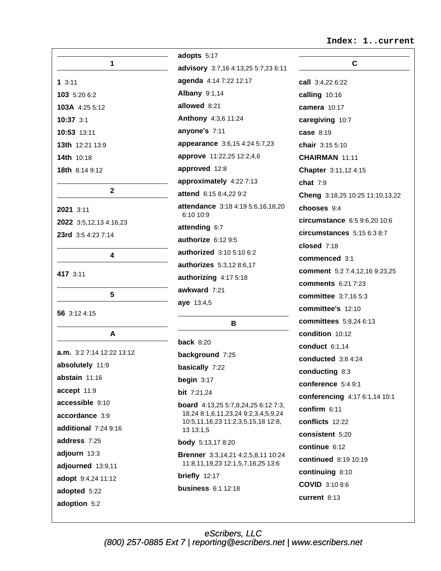### Index: 1..current

|                             | adopt:             |
|-----------------------------|--------------------|
| 1                           | adviso             |
| 13:11                       | agend              |
| 103 5:20 6:2                | Alban <sub>!</sub> |
| 103A 4:25 5:12              | allowe             |
| 10:37 3:1                   | Antho              |
| 10:53 13:11                 | anyon              |
| 13th 12:21 13:9             | appea              |
| 14th 10:18                  | appro <sup>®</sup> |
| <b>18th</b> 8:14 9:12       | appro              |
|                             | appro:             |
| $\mathbf{2}$                | attend             |
| 2021 3:11                   | attend<br>6:101    |
| 2022 3:5,12,13 4:16,23      | attend             |
| 23rd 3:5 4:23 7:14          | author             |
| 4                           | author             |
|                             | author             |
| 417 3:11                    | author             |
| 5                           | awkwa              |
| 56 3:12 4:15                | aye 13             |
| A                           |                    |
|                             | back :             |
| $a.m.$ 3:2 7:14 12:22 13:12 | backg              |
| absolutely 11:9             | basica             |
| abstain 11:16               | begin              |
| accept 11:9                 | <b>bit</b> 7:2     |
| accessible 9:10             | board              |
| accordance 3:9              | 18,24<br>10:5,1    |
| additional 7:24 9:16        | 13 13              |
| address 7:25                | body               |
| adjourn 13:3                | <b>Brenn</b>       |
| adjourned 13:9,11           | 11:8.1             |
| adopt 9:4,24 11:12          | briefly            |
| adopted 5:22                | busine             |
| adoption 5:2                |                    |

| dopts 5:17                                            |
|-------------------------------------------------------|
| dvisory 3:7,16 4:13,25 5:7,23 6:11                    |
| genda 4:14 7:22 12:17                                 |
| <b>Albany 9:1,14</b>                                  |
| Illowed 8:21                                          |
| <b>Anthony</b> 4:3,6 11:24                            |
| <b>nyone's 7:11</b>                                   |
| ppearance 3:6,15 4:24 5:7,23                          |
| ipprove 11:22,25 12:2,4,6                             |
| pproved 12:8                                          |
| pproximately 4:22 7:13                                |
| ttend 6:15 8:4,22 9:2                                 |
| <b>ittendance</b> 3:18 4:19 5:6,16,18,20<br>6:10 10:9 |
| <b>ittending 6:7</b>                                  |
| uthorize 6:12 9:5                                     |
| uthorized 3:10 5:10 6:2                               |
| uthorizes 5:3,12 8:6,17                               |
| uthorizing 4:17 5:18                                  |
| wkward 7:21                                           |
| <b>ive</b> 13:4,5                                     |
| в                                                     |

 $8:20$ round 7:25 ally 7:22  $3:17$  $21,24$ 4:13,25 5:7,8,24,25 6:12 7:3, 8:1,6,11,23,24 9:2,3,4,5,9,24 1,16,23 11:2,3,5,15,18 12:8,  $3:1,5$ 5:13,178:20 ler 3:3,14,21 4:2,5,8,11 10:24 11,19,23 12:1,5,7,16,25 13:6  $12:17$ ess 6:1 12:18

| С                               |  |  |  |
|---------------------------------|--|--|--|
| <b>call</b> 3:4,22 6:22         |  |  |  |
| calling 10:16                   |  |  |  |
| camera 10:17                    |  |  |  |
| caregiving 10:7                 |  |  |  |
| case 8:19                       |  |  |  |
| chair 3:15 5:10                 |  |  |  |
| CHAIRMAN 11:11                  |  |  |  |
| Chapter 3:11,12 4:15            |  |  |  |
| chat $7:9$                      |  |  |  |
| Cheng 3:18,25 10:25 11:10,13,22 |  |  |  |
| chooses 9:4                     |  |  |  |
| circumstance 6:5 9:6,20 10:6    |  |  |  |
| circumstances 5:15 6:3 8:7      |  |  |  |
| closed 7:18                     |  |  |  |
| commenced 3:1                   |  |  |  |
| comment 5:2 7:4,12,16 9:23,25   |  |  |  |
| <b>comments 6:21 7:23</b>       |  |  |  |
| committee 3:7,16 5:3            |  |  |  |
| committee's 12:10               |  |  |  |
| committees 5:8,24 6:13          |  |  |  |
| condition 10:12                 |  |  |  |
| conduct $6:1,14$                |  |  |  |
| conducted 3:8 4:24              |  |  |  |
| conducting 8:3                  |  |  |  |
| conference 5:4 9:1              |  |  |  |
| conferencing 4:17 6:1,14 10:1   |  |  |  |
| confirm 6:11                    |  |  |  |
| conflicts 12:22                 |  |  |  |
| consistent 5:20                 |  |  |  |
| continue 6:12                   |  |  |  |
| continued 8:19 10:19            |  |  |  |
| continuing 8:10                 |  |  |  |
| COVID 3:10 8:6                  |  |  |  |
| current 8:13                    |  |  |  |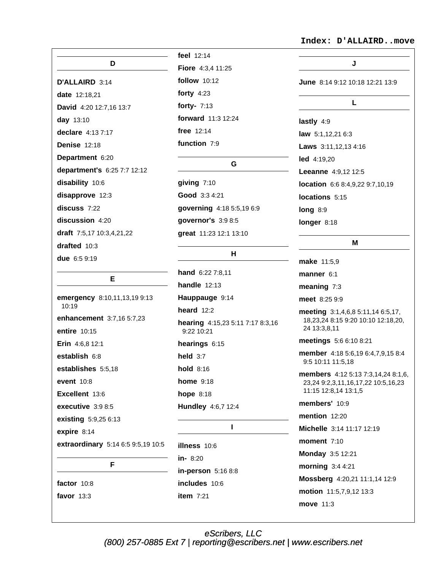D D'ALLAIRD 3:14 date 12:18,21 David 4:20 12:7,16 13:7 day 13:10 declare 4:13 7:17 Denise 12:18 Department 6:20 department's 6:25 7:7 12:12 disability 10:6 disapprove 12:3  $discuss 7:22$ discussion 4:20 draft  $7:5,17$  10:3,4,21,22 drafted 10:3 due 6:5 9:19

## E.

emergency 8:10,11,13,19 9:13 10:19 enhancement 3:7,16 5:7,23 entire 10:15 Erin 4:6.8 12:1 establish 6:8 establishes 5:5,18 event 10:8 Excellent 13:6 executive 3:9 8:5 existing 5:9,25 6:13 expire 8:14 extraordinary 5:14 6:5 9:5,19 10:5 F factor 10:8

favor  $13:3$ 

feel 12:14 Fiore 4:3,4 11:25 follow 10:12 forty  $4:23$ forty- $7:13$ forward 11:3 12:24 free  $12:14$ function 7:9

G.

giving  $7:10$ Good 3:3 4:21 qoverning 4:18 5:5,19 6:9 governor's 3:9 8:5 great 11:23 12:1 13:10

H

hand 6:22 7:8,11 **handle** 12:13 Hauppauge 9:14 heard  $12:2$ hearing 4:15,23 5:11 7:17 8:3,16 9:22 10:21 hearings  $6:15$ held  $3:7$ hold 8:16 **home** 9:18 hope  $8:18$ Hundley 4:6,7 12:4  $\mathbf{I}$ illness 10:6

 $in-8:20$ in-person 5:16 8:8 includes 10:6 item  $7:21$ 

### Index: D'ALLAIRD..move

| J.                              |  |  |  |  |
|---------------------------------|--|--|--|--|
| June 8:14 9:12 10:18 12:21 13:9 |  |  |  |  |
| L                               |  |  |  |  |
| lastly 4:9                      |  |  |  |  |
| law 5:1,12,21 6:3               |  |  |  |  |
| Laws 3:11,12,13 4:16            |  |  |  |  |
| led 4:19,20                     |  |  |  |  |
| Leeanne 4:9,12 12:5             |  |  |  |  |
| location 6:6 8:4,9,22 9:7,10,19 |  |  |  |  |
| locations 5:15                  |  |  |  |  |
| long 8:9                        |  |  |  |  |
| longer 8:18                     |  |  |  |  |
| М                               |  |  |  |  |
|                                 |  |  |  |  |

make 11:5,9 manner  $6:1$ meaning  $7:3$ meet 8:25 9:9 meeting 3:1,4,6,8 5:11,14 6:5,17, 18,23,24 8:15 9:20 10:10 12:18,20, 24 13:3,8,11 meetings 5:6 6:10 8:21 member 4:18 5:6,19 6:4,7,9,15 8:4 9:5 10:11 11:5,18 **members** 4:12 5:13 7:3,14,24 8:1,6, 23,24 9:2,3,11,16,17,22 10:5,16,23 11:15 12:8,14 13:1,5 members' 10:9 mention 12:20 Michelle 3:14 11:17 12:19 moment 7:10 **Monday 3:5 12:21** morning  $3:44:21$ Mossberg 4:20,21 11:1,14 12:9 motion 11:5,7,9,12 13:3 move 11:3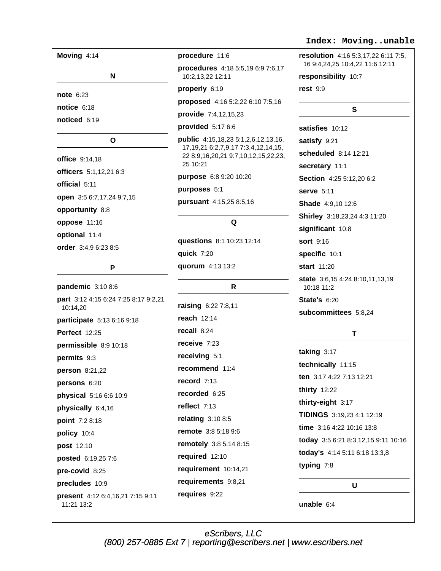| Moving 4:14                                    | procedure 11:6                                                                                    | <b>resolution</b> 4:16 5:3,17,22 6:11 7:5,<br>16 9:4,24,25 10:4,22 11:6 12:11 |
|------------------------------------------------|---------------------------------------------------------------------------------------------------|-------------------------------------------------------------------------------|
| N                                              | procedures 4:18 5:5,19 6:9 7:6,17<br>10:2,13,22 12:11                                             | responsibility 10:7                                                           |
|                                                | properly 6:19                                                                                     | rest $9:9$                                                                    |
| <b>note 6:23</b>                               | proposed 4:16 5:2,22 6:10 7:5,16                                                                  |                                                                               |
| notice $6:18$                                  | provide 7:4,12,15,23                                                                              | S                                                                             |
| noticed 6:19                                   | provided 5:17 6:6                                                                                 | satisfies 10:12                                                               |
| O                                              | public 4:15,18,23 5:1,2,6,12,13,16,                                                               | satisfy 9:21                                                                  |
|                                                | 17, 19, 21 6: 2, 7, 9, 17 7: 3, 4, 12, 14, 15,<br>22 8:9,16,20,21 9:7,10,12,15,22,23,<br>25 10:21 | scheduled 8:14 12:21                                                          |
| <b>office</b> 9:14,18                          |                                                                                                   | secretary 11:1                                                                |
| officers 5:1,12,21 6:3                         | purpose 6:8 9:20 10:20                                                                            | Section 4:25 5:12,20 6:2                                                      |
| official 5:11                                  | purposes 5:1                                                                                      | serve 5:11                                                                    |
| open 3:5 6:7,17,24 9:7,15                      | pursuant 4:15,25 8:5,16                                                                           | <b>Shade</b> 4:9,10 12:6                                                      |
| opportunity 8:8                                |                                                                                                   | Shirley 3:18,23,24 4:3 11:20                                                  |
| oppose 11:16                                   | Q                                                                                                 | significant 10:8                                                              |
| optional 11:4                                  | questions 8:1 10:23 12:14                                                                         | <b>sort</b> 9:16                                                              |
| order 3:4,9 6:23 8:5                           | quick 7:20                                                                                        | specific 10:1                                                                 |
| P                                              | quorum 4:13 13:2                                                                                  | <b>start</b> 11:20                                                            |
|                                                |                                                                                                   | state 3:6,15 4:24 8:10,11,13,19                                               |
| pandemic 3:10 8:6                              | $\mathsf{R}$                                                                                      | 10:18 11:2                                                                    |
| part 3:12 4:15 6:24 7:25 8:17 9:2,21           | raising 6:22 7:8,11                                                                               | <b>State's 6:20</b>                                                           |
| 10:14,20                                       | reach $12:14$                                                                                     | subcommittees 5:8,24                                                          |
| participate 5:13 6:16 9:18                     | recall 8:24                                                                                       |                                                                               |
| <b>Perfect 12:25</b>                           | receive 7:23                                                                                      | T                                                                             |
| permissible 8:9 10:18                          | receiving 5:1                                                                                     | taking $3:17$                                                                 |
| permits 9:3                                    |                                                                                                   | technically 11:15                                                             |
| person 8:21,22                                 | recommend 11:4                                                                                    | ten 3:17 4:22 7:13 12:21                                                      |
| persons 6:20                                   | record 7:13                                                                                       | <b>thirty 12:22</b>                                                           |
| physical 5:16 6:6 10:9                         | recorded 6:25                                                                                     | thirty-eight 3:17                                                             |
| physically 6:4,16                              | reflect 7:13                                                                                      | TIDINGS 3:19,23 4:1 12:19                                                     |
| point 7:2 8:18                                 | relating 3:10 8:5                                                                                 | time 3:16 4:22 10:16 13:8                                                     |
| policy 10:4                                    | <b>remote</b> 3:8 5:18 9:6                                                                        | today 3:5 6:21 8:3,12,15 9:11 10:16                                           |
| post 12:10                                     | remotely 3:8 5:14 8:15                                                                            | today's 4:14 5:11 6:18 13:3,8                                                 |
| posted 6:19,25 7:6                             | required 12:10                                                                                    | typing 7:8                                                                    |
| pre-covid 8:25                                 | requirement 10:14,21                                                                              |                                                                               |
| precludes 10:9                                 | requirements 9:8,21                                                                               | U                                                                             |
| present 4:12 6:4,16,21 7:15 9:11<br>11:21 13:2 | requires 9:22                                                                                     | unable $6:4$                                                                  |

# Index: Moving..unable